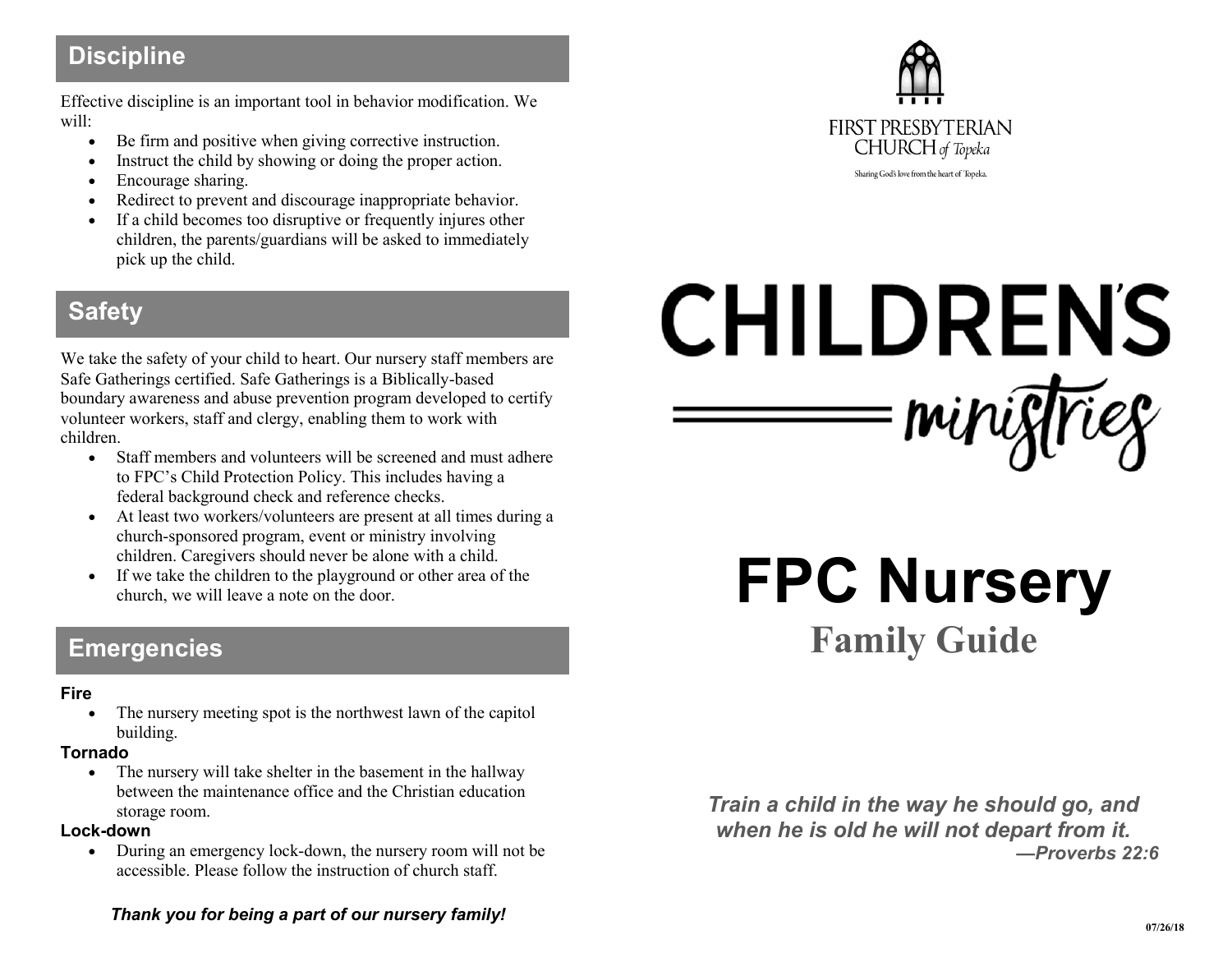## **Discipline**

Effective discipline is an important tool in behavior modification. We will:

- Be firm and positive when giving corrective instruction.
- Instruct the child by showing or doing the proper action.
- Encourage sharing.
- Redirect to prevent and discourage inappropriate behavior.
- If a child becomes too disruptive or frequently injures other children, the parents/guardians will be asked to immediately pick up the child.

## **Safety**

We take the safety of your child to heart. Our nursery staff members are Safe Gatherings certified. Safe Gatherings is a Biblically-based boundary awareness and abuse prevention program developed to certify volunteer workers, staff and clergy, enabling them to work with children.

- Staff members and volunteers will be screened and must adhere to FPC's Child Protection Policy. This includes having a federal background check and reference checks.
- At least two workers/volunteers are present at all times during a church-sponsored program, event or ministry involving children. Caregivers should never be alone with a child.
- If we take the children to the playground or other area of the church, we will leave a note on the door.

## **Emergencies**

#### **Fire**

• The nursery meeting spot is the northwest lawn of the capitol building.

#### **Tornado**

• The nursery will take shelter in the basement in the hallway between the maintenance office and the Christian education storage room.

#### **Lock-down**

 During an emergency lock-down, the nursery room will not be accessible. Please follow the instruction of church staff.





# **CHILDREN'S** winighter

**FPC Nursery Family Guide**

*Train a child in the way he should go, and when he is old he will not depart from it. —Proverbs 22:6*